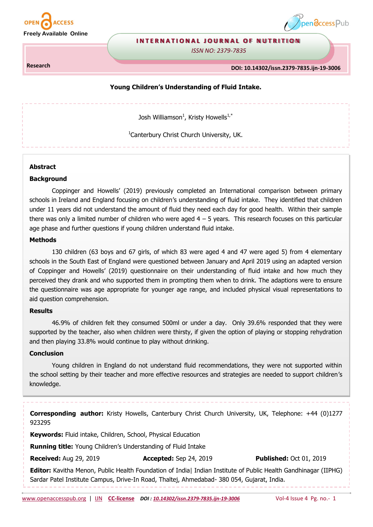



#### **INTERNATIONAL JOURNAL OF NUTRITION**

*ISSN NO: 2379-7835* 

**Research** 

**DOI: 10.14302/issn.2379-7835.ijn-19-3006**

#### **Young Children's Understanding of Fluid Intake.**

Josh Williamson<sup>1</sup>, Kristy Howells<sup>1,\*</sup>

<sup>1</sup>Canterbury Christ Church University, UK.

#### **Abstract**

#### **Background**

Coppinger and Howells' (2019) previously completed an International comparison between primary schools in Ireland and England focusing on children's understanding of fluid intake. They identified that children under 11 years did not understand the amount of fluid they need each day for good health. Within their sample there was only a limited number of children who were aged  $4 - 5$  years. This research focuses on this particular age phase and further questions if young children understand fluid intake.

### **Methods**

130 children (63 boys and 67 girls, of which 83 were aged 4 and 47 were aged 5) from 4 elementary schools in the South East of England were questioned between January and April 2019 using an adapted version of Coppinger and Howells' (2019) questionnaire on their understanding of fluid intake and how much they perceived they drank and who supported them in prompting them when to drink. The adaptions were to ensure the questionnaire was age appropriate for younger age range, and included physical visual representations to aid question comprehension.

#### **Results**

46.9% of children felt they consumed 500ml or under a day. Only 39.6% responded that they were supported by the teacher, also when children were thirsty, if given the option of playing or stopping rehydration and then playing 33.8% would continue to play without drinking.

### **Conclusion**

Young children in England do not understand fluid recommendations, they were not supported within the school setting by their teacher and more effective resources and strategies are needed to support children's knowledge.

**Corresponding author:** Kristy Howells, Canterbury Christ Church University, UK, Telephone: +44 (0)1277 923295 **Keywords:** Fluid intake, Children, School, Physical Education **Running title:** Young Children's Understanding of Fluid Intake **Received:** Aug 29, 2019 **Accepted:** Sep 24, 2019 **Published:** Oct 01, 2019 **Editor:** Kavitha Menon, Public Health Foundation of India| Indian Institute of Public Health Gandhinagar (IIPHG) Sardar Patel Institute Campus, Drive-In Road, Thaltej, Ahmedabad- 380 054, Gujarat, India.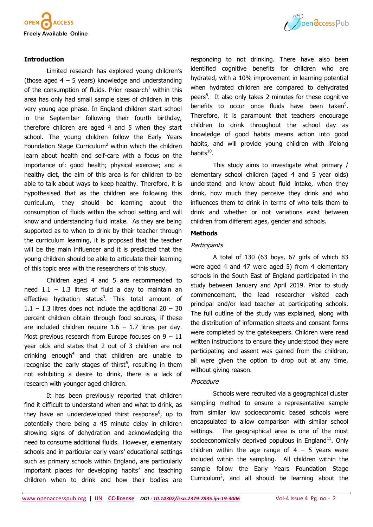

### **Introduction**

Limited research has explored young children's (those aged  $4 - 5$  years) knowledge and understanding of the consumption of fluids. Prior research<sup>1</sup> within this area has only had small sample sizes of children in this very young age phase. In England children start school in the September following their fourth birthday, therefore children are aged 4 and 5 when they start school. The young children follow the Early Years Foundation Stage Curriculum<sup>2</sup> within which the children learn about health and self-care with a focus on the importance of: good health; physical exercise; and a healthy diet, the aim of this area is for children to be able to talk about ways to keep healthy. Therefore, it is hypothesised that as the children are following this curriculum, they should be learning about the consumption of fluids within the school setting and will know and understanding fluid intake. As they are being supported as to when to drink by their teacher through the curriculum learning, it is proposed that the teacher will be the main influencer and it is predicted that the young children should be able to articulate their learning of this topic area with the researchers of this study.

Children aged 4 and 5 are recommended to need  $1.1 - 1.3$  litres of fluid a day to maintain an effective hydration status<sup>3</sup>. This total amount of  $1.1 - 1.3$  litres does not include the additional  $20 - 30$ percent children obtain through food sources, if these are included children require  $1.6 - 1.7$  litres per day. Most previous research from Europe focuses on  $9 - 11$ year olds and states that 2 out of 3 children are not drinking enough<sup>4</sup> and that children are unable to recognise the early stages of thirst<sup>5</sup>, resulting in them not exhibiting a desire to drink, there is a lack of research with younger aged children.

It has been previously reported that children find it difficult to understand when and what to drink, as they have an underdeveloped thirst response<sup>6</sup>, up to potentially there being a 45 minute delay in children showing signs of dehydration and acknowledging the need to consume additional fluids. However, elementary schools and in particular early years' educational settings such as primary schools within England, are particularly important places for developing habits<sup>7</sup> and teaching children when to drink and how their bodies are



responding to not drinking. There have also been identified cognitive benefits for children who are hydrated, with a 10% improvement in learning potential when hydrated children are compared to dehydrated peers<sup>8</sup>. It also only takes 2 minutes for these cognitive benefits to occur once fluids have been taken<sup>9</sup>. Therefore, it is paramount that teachers encourage children to drink throughout the school day as knowledge of good habits means action into good habits, and will provide young children with lifelong habits<sup>10</sup>.

This study aims to investigate what primary / elementary school children (aged 4 and 5 year olds) understand and know about fluid intake, when they drink, how much they perceive they drink and who influences them to drink in terms of who tells them to drink and whether or not variations exist between children from different ages, gender and schools.

## **Methods**

### **Participants**

A total of 130 (63 boys, 67 girls of which 83 were aged 4 and 47 were aged 5) from 4 elementary schools in the South East of England participated in the study between January and April 2019. Prior to study commencement, the lead researcher visited each principal and/or lead teacher at participating schools. The full outline of the study was explained, along with the distribution of information sheets and consent forms were completed by the gatekeepers. Children were read written instructions to ensure they understood they were participating and assent was gained from the children, all were given the option to drop out at any time, without giving reason.

#### **Procedure**

Schools were recruited via a geographical cluster sampling method to ensure a representative sample from similar low socioeconomic based schools were encapsulated to allow comparison with similar school settings. The geographical area is one of the most socioeconomically deprived populous in England $11$ . Only children within the age range of  $4 - 5$  years were included within the sampling. All children within the sample follow the Early Years Foundation Stage Curriculum<sup>2</sup>, and all should be learning about the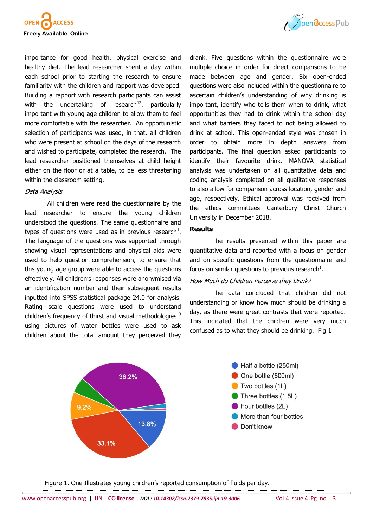



importance for good health, physical exercise and healthy diet. The lead researcher spent a day within each school prior to starting the research to ensure familiarity with the children and rapport was developed. Building a rapport with research participants can assist with the undertaking of research<sup>12</sup>, particularly important with young age children to allow them to feel more comfortable with the researcher. An opportunistic selection of participants was used, in that, all children who were present at school on the days of the research and wished to participate, completed the research. The lead researcher positioned themselves at child height either on the floor or at a table, to be less threatening within the classroom setting.

#### Data Analysis

All children were read the questionnaire by the lead researcher to ensure the young children understood the questions. The same questionnaire and types of questions were used as in previous research<sup>1</sup>. The language of the questions was supported through showing visual representations and physical aids were used to help question comprehension, to ensure that this young age group were able to access the questions effectively. All children's responses were anonymised via an identification number and their subsequent results inputted into SPSS statistical package 24.0 for analysis. Rating scale questions were used to understand children's frequency of thirst and visual methodologies $^{13}$ using pictures of water bottles were used to ask children about the total amount they perceived they

drank. Five questions within the questionnaire were multiple choice in order for direct comparisons to be made between age and gender. Six open-ended questions were also included within the questionnaire to ascertain children's understanding of why drinking is important, identify who tells them when to drink, what opportunities they had to drink within the school day and what barriers they faced to not being allowed to drink at school. This open-ended style was chosen in order to obtain more in depth answers from participants. The final question asked participants to identify their favourite drink. MANOVA statistical analysis was undertaken on all quantitative data and coding analysis completed on all qualitative responses to also allow for comparison across location, gender and age, respectively. Ethical approval was received from the ethics committees Canterbury Christ Church University in December 2018.

#### **Results**

The results presented within this paper are quantitative data and reported with a focus on gender and on specific questions from the questionnaire and focus on similar questions to previous research<sup>1</sup>.

#### How Much do Children Perceive they Drink?

The data concluded that children did not understanding or know how much should be drinking a day, as there were great contrasts that were reported. This indicated that the children were very much confused as to what they should be drinking. Fig 1

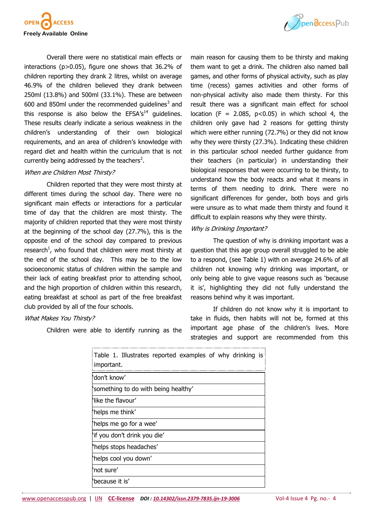



Overall there were no statistical main effects or interactions (p>0.05), figure one shows that 36.2% of children reporting they drank 2 litres, whilst on average 46.9% of the children believed they drank between 250ml (13.8%) and 500ml (33.1%). These are between 600 and 850ml under the recommended guidelines $3$  and this response is also below the  $EFSA's<sup>14</sup>$  guidelines. These results clearly indicate a serious weakness in the children's understanding of their own biological requirements, and an area of children's knowledge with regard diet and health within the curriculum that is not currently being addressed by the teachers<sup>2</sup>.

### When are Children Most Thirsty?

Children reported that they were most thirsty at different times during the school day. There were no significant main effects or interactions for a particular time of day that the children are most thirsty. The majority of children reported that they were most thirsty at the beginning of the school day (27.7%), this is the opposite end of the school day compared to previous research<sup>1</sup>, who found that children were most thirsty at the end of the school day. This may be to the low socioeconomic status of children within the sample and their lack of eating breakfast prior to attending school, and the high proportion of children within this research, eating breakfast at school as part of the free breakfast club provided by all of the four schools.

What Makes You Thirsty?

Children were able to identify running as the

main reason for causing them to be thirsty and making them want to get a drink. The children also named ball games, and other forms of physical activity, such as play time (recess) games activities and other forms of non-physical activity also made them thirsty. For this result there was a significant main effect for school location (F = 2.085,  $p<0.05$ ) in which school 4, the children only gave had 2 reasons for getting thirsty which were either running (72.7%) or they did not know why they were thirsty (27.3%). Indicating these children in this particular school needed further guidance from their teachers (in particular) in understanding their biological responses that were occurring to be thirsty, to understand how the body reacts and what it means in terms of them needing to drink. There were no significant differences for gender, both boys and girls were unsure as to what made them thirsty and found it difficult to explain reasons why they were thirsty.

### Why is Drinking Important?

The question of why is drinking important was a question that this age group overall struggled to be able to a respond, (see Table 1) with on average 24.6% of all children not knowing why drinking was important, or only being able to give vague reasons such as 'because it is', highlighting they did not fully understand the reasons behind why it was important.

If children do not know why it is important to take in fluids, then habits will not be, formed at this important age phase of the children's lives. More strategies and support are recommended from this

| Table 1. Illustrates reported examples of why drinking is<br>important. |
|-------------------------------------------------------------------------|
| don't know'                                                             |
| 'something to do with being healthy'                                    |
| Nike the flavour'                                                       |
| 'helps me think'                                                        |
| helps me go for a wee'                                                  |
| if you don't drink you die'                                             |
| "helps stops headaches"                                                 |
| helps cool you down'                                                    |
| `not sure                                                               |
| because it is'                                                          |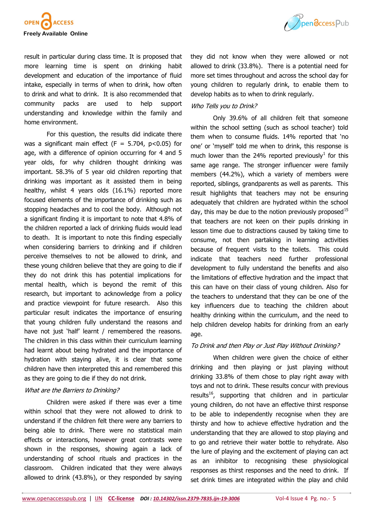

result in particular during class time. It is proposed that more learning time is spent on drinking habit development and education of the importance of fluid intake, especially in terms of when to drink, how often to drink and what to drink. It is also recommended that community packs are used to help support understanding and knowledge within the family and home environment.

For this question, the results did indicate there was a significant main effect (F = 5.704,  $p$  < 0.05) for age, with a difference of opinion occurring for 4 and 5 year olds, for why children thought drinking was important. 58.3% of 5 year old children reporting that drinking was important as it assisted them in being healthy, whilst 4 years olds (16.1%) reported more focused elements of the importance of drinking such as stopping headaches and to cool the body. Although not a significant finding it is important to note that 4.8% of the children reported a lack of drinking fluids would lead to death. It is important to note this finding especially when considering barriers to drinking and if children perceive themselves to not be allowed to drink, and these young children believe that they are going to die if they do not drink this has potential implications for mental health, which is beyond the remit of this research, but important to acknowledge from a policy and practice viewpoint for future research. Also this particular result indicates the importance of ensuring that young children fully understand the reasons and have not just 'half' learnt / remembered the reasons. The children in this class within their curriculum learning had learnt about being hydrated and the importance of hydration with staying alive, it is clear that some children have then interpreted this and remembered this as they are going to die if they do not drink.

#### What are the Barriers to Drinking?

Children were asked if there was ever a time within school that they were not allowed to drink to understand if the children felt there were any barriers to being able to drink. There were no statistical main effects or interactions, however great contrasts were shown in the responses, showing again a lack of understanding of school rituals and practices in the classroom. Children indicated that they were always allowed to drink (43.8%), or they responded by saying



they did not know when they were allowed or not allowed to drink (33.8%). There is a potential need for more set times throughout and across the school day for young children to regularly drink, to enable them to develop habits as to when to drink regularly.

### Who Tells you to Drink?

Only 39.6% of all children felt that someone within the school setting (such as school teacher) told them when to consume fluids. 14% reported that 'no one' or 'myself' told me when to drink, this response is much lower than the 24% reported previously<sup>1</sup> for this same age range. The stronger influencer were family members (44.2%), which a variety of members were reported, siblings, grandparents as well as parents. This result highlights that teachers may not be ensuring adequately that children are hydrated within the school day, this may be due to the notion previously proposed<sup>15</sup> that teachers are not keen on their pupils drinking in lesson time due to distractions caused by taking time to consume, not then partaking in learning activities because of frequent visits to the toilets. This could indicate that teachers need further professional development to fully understand the benefits and also the limitations of effective hydration and the impact that this can have on their class of young children. Also for the teachers to understand that they can be one of the key influencers due to teaching the children about healthy drinking within the curriculum, and the need to help children develop habits for drinking from an early age.

### To Drink and then Play or Just Play Without Drinking?

When children were given the choice of either drinking and then playing or just playing without drinking 33.8% of them chose to play right away with toys and not to drink. These results concur with previous results<sup>16</sup>, supporting that children and in particular young children, do not have an effective thirst response to be able to independently recognise when they are thirsty and how to achieve effective hydration and the understanding that they are allowed to stop playing and to go and retrieve their water bottle to rehydrate. Also the lure of playing and the excitement of playing can act as an inhibitor to recognising these physiological responses as thirst responses and the need to drink. If set drink times are integrated within the play and child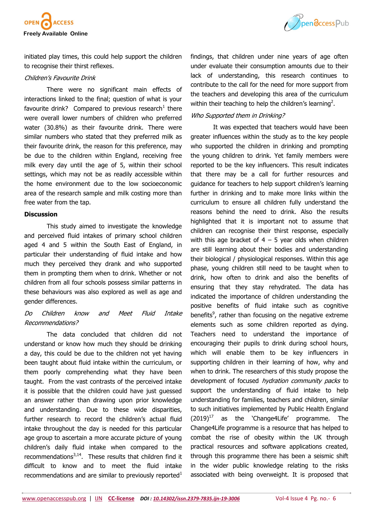

initiated play times, this could help support the children to recognise their thirst reflexes.

#### Children's Favourite Drink

There were no significant main effects of interactions linked to the final; question of what is your favourite drink? Compared to previous research<sup>1</sup> there were overall lower numbers of children who preferred water (30.8%) as their favourite drink. There were similar numbers who stated that they preferred milk as their favourite drink, the reason for this preference, may be due to the children within England, receiving free milk every day until the age of 5, within their school settings, which may not be as readily accessible within the home environment due to the low socioeconomic area of the research sample and milk costing more than free water from the tap.

#### **Discussion**

This study aimed to investigate the knowledge and perceived fluid intakes of primary school children aged 4 and 5 within the South East of England, in particular their understanding of fluid intake and how much they perceived they drank and who supported them in prompting them when to drink. Whether or not children from all four schools possess similar patterns in these behaviours was also explored as well as age and gender differences.

# Do Children know and Meet Fluid Intake Recommendations?

The data concluded that children did not understand or know how much they should be drinking a day, this could be due to the children not yet having been taught about fluid intake within the curriculum, or them poorly comprehending what they have been taught. From the vast contrasts of the perceived intake it is possible that the children could have just guessed an answer rather than drawing upon prior knowledge and understanding. Due to these wide disparities, further research to record the children's actual fluid intake throughout the day is needed for this particular age group to ascertain a more accurate picture of young children's daily fluid intake when compared to the recommendations $3,14$ . These results that children find it difficult to know and to meet the fluid intake recommendations and are similar to previously reported $1$ 

findings, that children under nine years of age often under evaluate their consumption amounts due to their lack of understanding, this research continues to contribute to the call for the need for more support from the teachers and developing this area of the curriculum within their teaching to help the children's learning<sup>2</sup>.

## Who Supported them in Drinking?

It was expected that teachers would have been greater influences within the study as to the key people who supported the children in drinking and prompting the young children to drink. Yet family members were reported to be the key influencers. This result indicates that there may be a call for further resources and guidance for teachers to help support children's learning further in drinking and to make more links within the curriculum to ensure all children fully understand the reasons behind the need to drink. Also the results highlighted that it is important not to assume that children can recognise their thirst response, especially with this age bracket of  $4 - 5$  year olds when children are still learning about their bodies and understanding their biological / physiological responses. Within this age phase, young children still need to be taught when to drink, how often to drink and also the benefits of ensuring that they stay rehydrated. The data has indicated the importance of children understanding the positive benefits of fluid intake such as cognitive benefits<sup>9</sup>, rather than focusing on the negative extreme elements such as some children reported as dying. Teachers need to understand the importance of encouraging their pupils to drink during school hours, which will enable them to be key influencers in supporting children in their learning of how, why and when to drink. The researchers of this study propose the development of focused *hydration community packs* to support the understanding of fluid intake to help understanding for families, teachers and children, similar to such initiatives implemented by Public Health England  $(2019)^{17}$  as the 'Change4Life' programme. The Change4Life programme is a resource that has helped to combat the rise of obesity within the UK through practical resources and software applications created, through this programme there has been a seismic shift in the wider public knowledge relating to the risks associated with being overweight. It is proposed that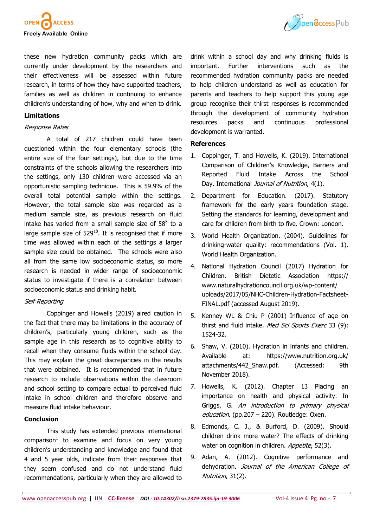



these new hydration community packs which are currently under development by the researchers and their effectiveness will be assessed within future research, in terms of how they have supported teachers, families as well as children in continuing to enhance children's understanding of how, why and when to drink.

### **Limitations**

#### Response Rates

A total of 217 children could have been questioned within the four elementary schools (the entire size of the four settings), but due to the time constraints of the schools allowing the researchers into the settings, only 130 children were accessed via an opportunistic sampling technique. This is 59.9% of the overall total potential sample within the settings. However, the total sample size was regarded as a medium sample size, as previous research on fluid intake has varied from a small sample size of  $58<sup>8</sup>$  to a large sample size of  $529^{18}$ . It is recognised that if more time was allowed within each of the settings a larger sample size could be obtained. The schools were also all from the same low socioeconomic status, so more research is needed in wider range of socioeconomic status to investigate if there is a correlation between socioeconomic status and drinking habit.

### Self Reporting

Coppinger and Howells (2019) aired caution in the fact that there may be limitations in the accuracy of children's, particularly young children, such as the sample age in this research as to cognitive ability to recall when they consume fluids within the school day. This may explain the great discrepancies in the results that were obtained. It is recommended that in future research to include observations within the classroom and school setting to compare actual to perceived fluid intake in school children and therefore observe and measure fluid intake behaviour.

### **Conclusion**

This study has extended previous international  $comparison<sup>1</sup>$  to examine and focus on very young children's understanding and knowledge and found that 4 and 5 year olds, indicate from their responses that they seem confused and do not understand fluid recommendations, particularly when they are allowed to

drink within a school day and why drinking fluids is important. Further interventions such as the recommended hydration community packs are needed to help children understand as well as education for parents and teachers to help support this young age group recognise their thirst responses is recommended through the development of community hydration resources packs and continuous professional development is warranted.

### **References**

- 1. Coppinger, T. and Howells, K. (2019). International Comparison of Children's Knowledge, Barriers and Reported Fluid Intake Across the School Day. International *Journal of Nutrition*, 4(1).
- 2. Department for Education. (2017). Statutory framework for the early years foundation stage. Setting the standards for learning, development and care for children from birth to five. Crown: London.
- 3. World Health Organization. (2004). Guidelines for drinking-water quality: recommendations (Vol. 1). World Health Organization.
- 4. National Hydration Council (2017) Hydration for Children. British Dietetic Association [https://](https://www.naturalhydrationcouncil.org.uk/wp-content/uploads/2017/05/NHC-Children-Hydration-Factsheet-FINAL.pdf) [www.naturalhydrationcouncil.org.uk/wp](https://www.naturalhydrationcouncil.org.uk/wp-content/uploads/2017/05/NHC-Children-Hydration-Factsheet-FINAL.pdf)-content/ [uploads/2017/05/NHC](https://www.naturalhydrationcouncil.org.uk/wp-content/uploads/2017/05/NHC-Children-Hydration-Factsheet-FINAL.pdf)-Children-Hydration-Factsheet-[FINAL.pdf](https://www.naturalhydrationcouncil.org.uk/wp-content/uploads/2017/05/NHC-Children-Hydration-Factsheet-FINAL.pdf) (accessed August 2019).
- 5. Kenney WL & Chiu P (2001) Influence of age on thirst and fluid intake. Med Sci Sports Exerc 33 (9): 1524-32.
- 6. Shaw, V. (2010). Hydration in infants and children. Available at: [https://www.nutrition.org.uk/](https://www.nutrition.org.uk/attachments/442_Shaw.pdf) [attachments/442\\_Shaw.pdf.](https://www.nutrition.org.uk/attachments/442_Shaw.pdf) (Accessed: 9th November 2018).
- 7. Howells, K. (2012). Chapter 13 Placing an importance on health and physical activity. In Griggs, G. An introduction to primary physical education. (pp.207 – 220). Routledge: Oxen.
- 8. Edmonds, C. J., & Burford, D. (2009). Should children drink more water? The effects of drinking water on cognition in children. Appetite, 52(3).
- 9. Adan, A. (2012). Cognitive performance and dehydration. Journal of the American College of Nutrition, 31(2).